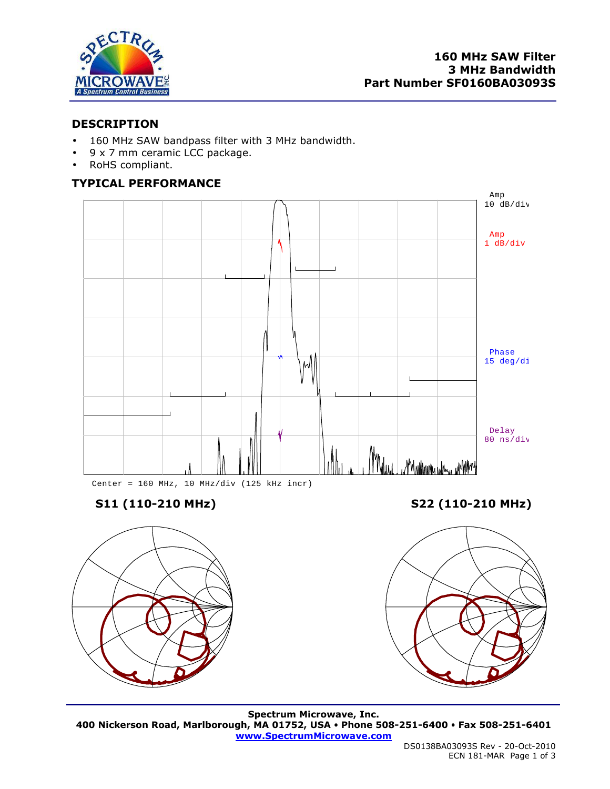

# **DESCRIPTION**

- 160 MHz SAW bandpass filter with 3 MHz bandwidth.
- 9 x 7 mm ceramic LCC package.
- RoHS compliant.

# **TYPICAL PERFORMANCE**





**S11 (110-210 MHz) S22 (110-210 MHz)** 



**Spectrum Microwave, Inc. 400 Nickerson Road, Marlborough, MA 01752, USA Phone 508-251-6400 Fax 508-251-6401 www.SpectrumMicrowave.com**

DS0138BA03093S Rev - 20-Oct-2010 ECN 181-MAR Page 1 of 3

ł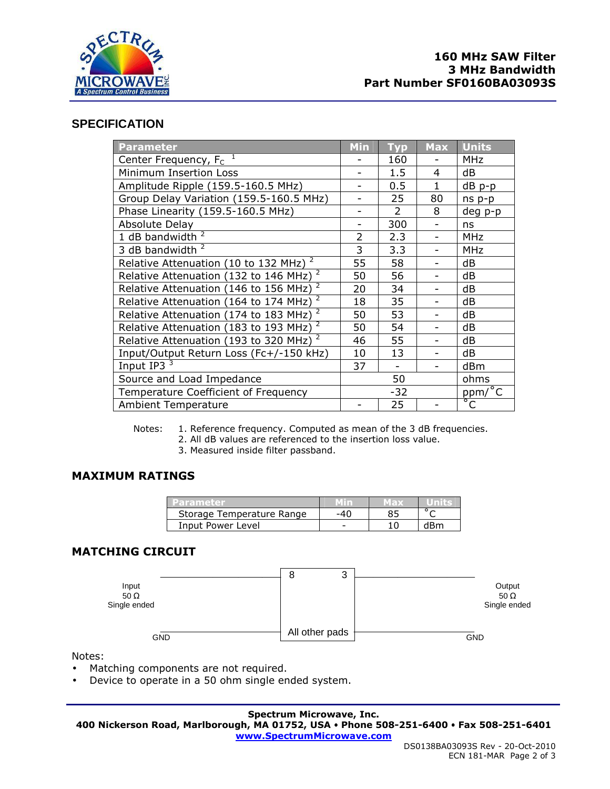

# **SPECIFICATION**

| <b>Parameter</b>                                        | <b>Min</b> | <b>Typ</b>     | <b>Max</b> | <b>Units</b>      |
|---------------------------------------------------------|------------|----------------|------------|-------------------|
| Center Frequency, $F_c$ <sup>1</sup>                    |            | 160            |            | <b>MHz</b>        |
| Minimum Insertion Loss                                  |            | 1.5            | 4          | dB                |
| Amplitude Ripple (159.5-160.5 MHz)                      |            | 0.5            | 1          | dB p-p            |
| Group Delay Variation (159.5-160.5 MHz)                 |            | 25             | 80         | ns p-p            |
| Phase Linearity (159.5-160.5 MHz)                       |            | $\overline{2}$ | 8          | deg p-p           |
| Absolute Delay                                          |            | 300            |            | ns                |
| 1 dB bandwidth $2$                                      | 2          | 2.3            |            | MHz               |
| 3 dB bandwidth <sup>2</sup>                             | 3          | 3.3            |            | <b>MHz</b>        |
| Relative Attenuation (10 to 132 MHz) <sup>2</sup>       | 55         | 58             |            | dB                |
| 2<br>Relative Attenuation (132 to 146 MHz)              | 50         | 56             |            | dB                |
| Relative Attenuation (146 to 156 MHz) <sup>2</sup>      | 20         | 34             |            | dB                |
| $\overline{2}$<br>Relative Attenuation (164 to 174 MHz) | 18         | 35             |            | dB                |
| 2<br>Relative Attenuation (174 to 183 MHz)              | 50         | 53             |            | dB                |
| $\overline{2}$<br>Relative Attenuation (183 to 193 MHz) | 50         | 54             |            | dB                |
| 2<br>Relative Attenuation (193 to 320 MHz)              | 46         | 55             |            | dB                |
| Input/Output Return Loss (Fc+/-150 kHz)                 | 10         | 13             |            | dB                |
| Input IP3 <sup>3</sup>                                  | 37         |                |            | dBm               |
| Source and Load Impedance                               | 50         |                |            | ohms              |
| Temperature Coefficient of Frequency                    | $-32$      |                |            | $ppm/\sqrt[6]{C}$ |
| <b>Ambient Temperature</b>                              |            | 25             |            | $\overline{C}$    |

Notes: 1. Reference frequency. Computed as mean of the 3 dB frequencies.

2. All dB values are referenced to the insertion loss value.

3. Measured inside filter passband.

# **MAXIMUM RATINGS**

| taran da.                 |     | MED. |     |
|---------------------------|-----|------|-----|
| Storage Temperature Range | -40 |      |     |
| Input Power Level         |     |      | dRm |

# **MATCHING CIRCUIT**



Notes:

- Matching components are not required.
- Device to operate in a 50 ohm single ended system.

**Spectrum Microwave, Inc.** 

**400 Nickerson Road, Marlborough, MA 01752, USA Phone 508-251-6400 Fax 508-251-6401 www.SpectrumMicrowave.com**

ł